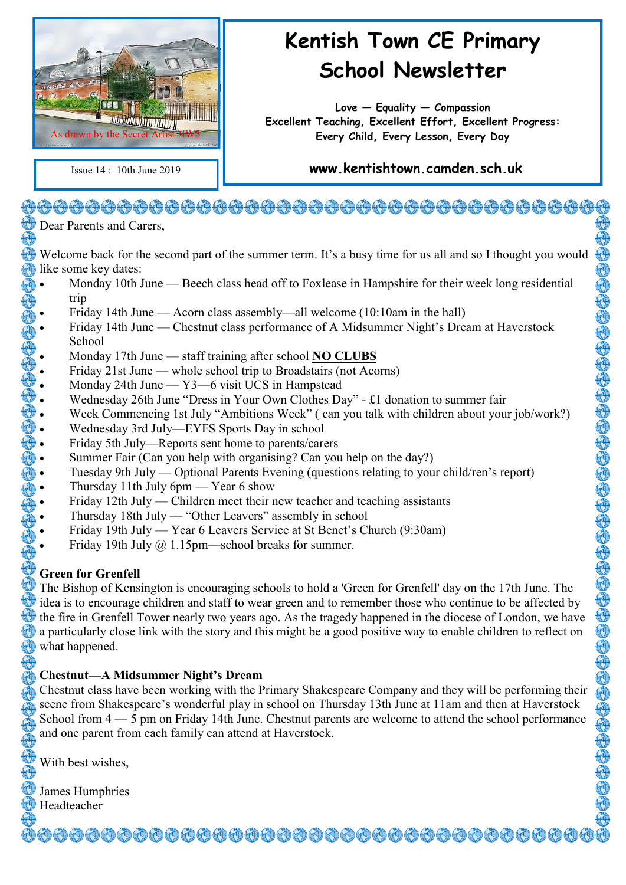

# **Kentish Town CE Primary School Newsletter**

**Love — Equality — Compassion Excellent Teaching, Excellent Effort, Excellent Progress: Every Child, Every Lesson, Every Day**

#### Issue 14 : 10th June 2019 **www.kentishtown.camden.sch.uk**

## 

Dear Parents and Carers,

Welcome back for the second part of the summer term. It's a busy time for us all and so I thought you would like some key dates:

- Monday 10th June Beech class head off to Foxlease in Hampshire for their week long residential<br>
Friday 14th June Acorn class assembly—all welcome (10:10am in the hall)<br>
Friday 14th June Chestnut class performance of trip
	- Friday 14th June Acorn class assembly—all welcome (10:10am in the hall)
	- Friday 14th June Chestnut class performance of A Midsummer Night's Dream at Haverstock School
	- Monday 17th June staff training after school **NO CLUBS**
	- Friday 21st June whole school trip to Broadstairs (not Acorns)
	- Monday 24th June Y3—6 visit UCS in Hampstead
	- Wednesday 26th June "Dress in Your Own Clothes Day" £1 donation to summer fair
	- Week Commencing 1st July "Ambitions Week" ( can you talk with children about your job/work?)
	- Wednesday 3rd July—EYFS Sports Day in school
	- Friday 5th July—Reports sent home to parents/carers
	- Summer Fair (Can you help with organising? Can you help on the day?)
	- Tuesday 9th July Optional Parents Evening (questions relating to your child/ren's report)
	- Thursday 11th July 6pm Year 6 show
	- Friday 12th July Children meet their new teacher and teaching assistants
	- Thursday 18th July "Other Leavers" assembly in school
	- Friday 19th July Year 6 Leavers Service at St Benet's Church (9:30am)
	- Friday 19th July @ 1.15pm—school breaks for summer.

#### **Green for Grenfell**

The Bishop of Kensington is encouraging schools to hold a 'Green for Grenfell' day on the 17th June. The idea is to encourage children and staff to wear green and to remember those who continue to be affected by the fire in Grenfell Tower nearly two years ago. As the tragedy happened in the diocese of London, we have a particularly close link with the story and this might be a good positive way to enable children to reflect on what happened.

#### **Chestnut—A Midsummer Night's Dream**

Chestnut class have been working with the Primary Shakespeare Company and they will be performing their scene from Shakespeare's wonderful play in school on Thursday 13th June at 11am and then at Haverstock School from 4 — 5 pm on Friday 14th June. Chestnut parents are welcome to attend the school performance and one parent from each family can attend at Haverstock.

<del>ᠿᠿᠿᠿᠿᠿᠿᠿᠿᠿᠿᠿᠿᠿᠿᠿᠿᠿᠿᠿ</del>ᠿᠿᠿᠿᠿᠿᠿᠿᠿᠿᠿᠿᠿ

With best wishes,

 $\mathcal Y$  James Humphries  $\bigoplus$  Headteacher